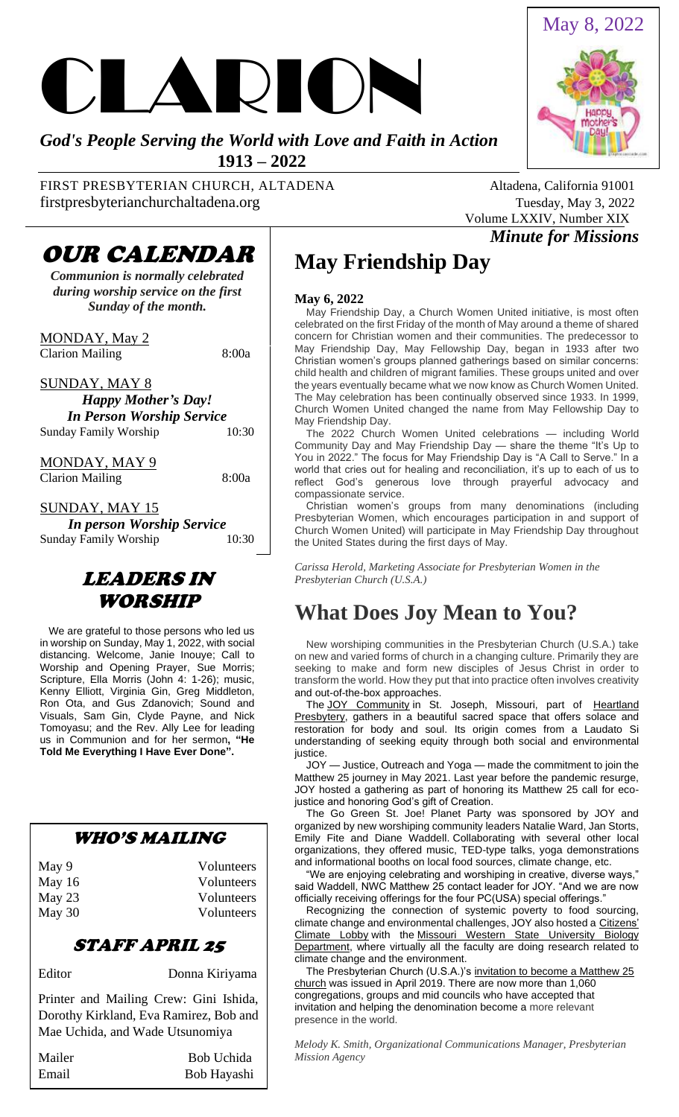

*God's People Serving the World with Love and Faith in Action*  **1913 – 2022** 

FIRST PRESBYTERIAN CHURCH, ALTADENA Altadena, California 91001 firstpresbyterianchurchaltadena.org Tuesday, May 3, 2022

May 8, 2022

# OUR CALENDAR

*Communion is normally celebrated during worship service on the first Sunday of the month.*

MONDAY, May 2 Clarion Mailing 8:00a

SUNDAY, MAY 8 *Happy Mother's Day!*

*In Person Worship Service* Sunday Family Worship 10:30

MONDAY, MAY 9

Clarion Mailing 8:00a

SUNDAY, MAY 15 *In person Worship Service* Sunday Family Worship 10:30

## LEADERS IN WORSHIP

 We are grateful to those persons who led us in worship on Sunday, May 1, 2022, with social distancing. Welcome, Janie Inouye; Call to Worship and Opening Prayer, Sue Morris; Scripture, Ella Morris (John 4: 1-26); music, Kenny Elliott, Virginia Gin, Greg Middleton, Ron Ota, and Gus Zdanovich; Sound and Visuals, Sam Gin, Clyde Payne, and Nick Tomoyasu; and the Rev. Ally Lee for leading us in Communion and for her sermon**, "He Told Me Everything I Have Ever Done".** 

## WHO'S MAILING

| May 9    | Volunteers |
|----------|------------|
| May $16$ | Volunteers |
| May 23   | Volunteers |
| May 30   | Volunteers |
|          |            |

### STAFF APRIL 25

Editor Donna Kiriyama

Printer and Mailing Crew: Gini Ishida, Dorothy Kirkland, Eva Ramirez, Bob and Mae Uchida, and Wade Utsunomiya

| Mailer | Bob Uchida  |
|--------|-------------|
| Email  | Bob Hayashi |

# **May Friendship Day**

### **May 6, 2022**

 May Friendship Day, a Church Women United initiative, is most often celebrated on the first Friday of the month of May around a theme of shared concern for Christian women and their communities. The predecessor to May Friendship Day, May Fellowship Day, began in 1933 after two Christian women's groups planned gatherings based on similar concerns: child health and children of migrant families. These groups united and over the years eventually became what we now know as Church Women United. The May celebration has been continually observed since 1933. In 1999, Church Women United changed the name from May Fellowship Day to May Friendship Day.

 The 2022 Church Women United celebrations — including World Community Day and May Friendship Day — share the theme "It's Up to You in 2022." The focus for May Friendship Day is "A Call to Serve." In a world that cries out for healing and reconciliation, it's up to each of us to reflect God's generous love through prayerful advocacy and compassionate service.

 Christian women's groups from many denominations (including Presbyterian Women, which encourages participation in and support of Church Women United) will participate in May Friendship Day throughout the United States during the first days of May.

*Carissa Herold, Marketing Associate for Presbyterian Women in the Presbyterian Church (U.S.A.)*

# **What Does Joy Mean to You?**

 New worshiping communities in the Presbyterian Church (U.S.A.) take on new and varied forms of church in a changing culture. Primarily they are seeking to make and form new disciples of Jesus Christ in order to transform the world. How they put that into practice often involves creativity and out-of-the-box approaches.

The [JOY Community](https://www.facebook.com/JOYCenter1202/) in St. Joseph, Missouri, part of Heartland [Presbytery,](https://heartlandpby.org/) gathers in a beautiful sacred space that offers solace and restoration for body and soul. Its origin comes from a Laudato Si understanding of seeking equity through both social and environmental justice.

 JOY — Justice, Outreach and Yoga — made the commitment to join the Matthew 25 journey in May 2021. Last year before the pandemic resurge, JOY hosted a gathering as part of honoring its Matthew 25 call for ecojustice and honoring God's gift of Creation.

 The Go Green St. Joe! Planet Party was sponsored by JOY and organized by new worshiping community leaders Natalie Ward, Jan Storts, Emily Fite and Diane Waddell. Collaborating with several other local organizations, they offered music, TED-type talks, yoga demonstrations and informational booths on local food sources, climate change, etc.

 "We are enjoying celebrating and worshiping in creative, diverse ways," said Waddell, NWC Matthew 25 contact leader for JOY. "And we are now officially receiving offerings for the four PC(USA) special offerings."

 Recognizing the connection of systemic poverty to food sourcing, climate change and environmental challenges, JOY also hosted a Citizens' [Climate Lobby](https://citizensclimatelobby.org/about-ccl/chapters/) with the [Missouri Western State University Biology](https://www.missouriwestern.edu/biology/)  [Department,](https://www.missouriwestern.edu/biology/) where virtually all the faculty are doing research related to climate change and the environment.

The Presbyterian Church (U.S.A.)'s invitation to become a Matthew 25 [church](https://www.presbyterianmission.org/ministries/matthew-25/) was issued in April 2019. There are now more than 1,060 congregations, groups and mid councils who have accepted that invitation and helping the denomination become a more relevant presence in the world.

*Melody K. Smith, Organizational Communications Manager, Presbyterian Mission Agency*



*Minute for Missions*